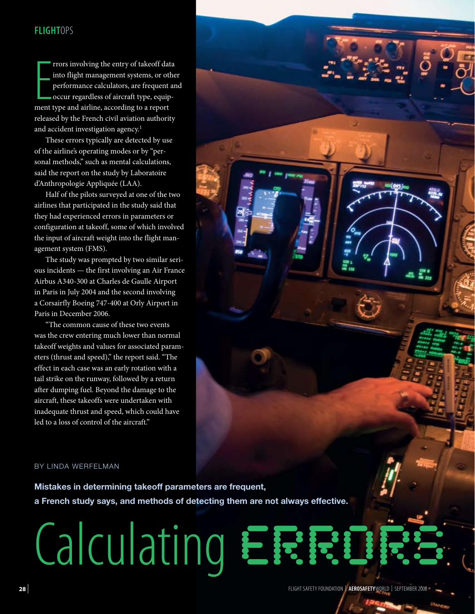# **FLIGHTOPS**

Frors involving the entry of takeoff dat into flight management systems, or otly performance calculators, are frequent occur regardless of aircraft type, equipment type and airline, according to a report rrors involving the entry of takeoff data into flight management systems, or other performance calculators, are frequent and occur regardless of aircraft type, equipreleased by the French civil aviation authority and accident investigation agency.<sup>1</sup>

These errors typically are detected by use of the airline's operating modes or by "personal methods," such as mental calculations, said the report on the study by Laboratoire d'Anthropologie Appliquée (LAA).

Half of the pilots surveyed at one of the two airlines that participated in the study said that they had experienced errors in parameters or configuration at takeoff, some of which involved the input of aircraft weight into the flight management system (FMS).

The study was prompted by two similar serious incidents — the first involving an Air France Airbus A340-300 at Charles de Gaulle Airport in Paris in July 2004 and the second involving a Corsairfly Boeing 747-400 at Orly Airport in Paris in December 2006.

"The common cause of these two events was the crew entering much lower than normal takeoff weights and values for associated parameters (thrust and speed)," the report said. "The effect in each case was an early rotation with a tail strike on the runway, followed by a return after dumping fuel. Beyond the damage to the aircraft, these takeoffs were undertaken with inadequate thrust and speed, which could have led to a loss of control of the aircraft."

### BY LINDA WERFELMAN

**Mistakes in determining takeoff parameters are frequent, a French study says, and methods of detecting them are not always effective.**

# Calculating ERRIR

flight safety foundation | **AeroSafety**World | **28** | September 2008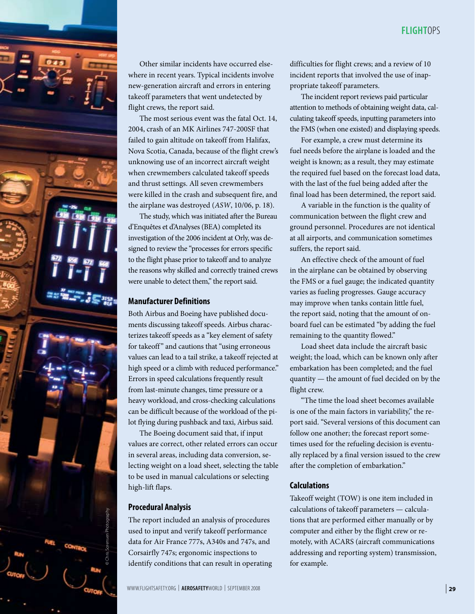

Other similar incidents have occurred elsewhere in recent years. Typical incidents involve new-generation aircraft and errors in entering takeoff parameters that went undetected by flight crews, the report said.

The most serious event was the fatal Oct. 14, 2004, crash of an MK Airlines 747-200SF that failed to gain altitude on takeoff from Halifax, Nova Scotia, Canada, because of the flight crew's unknowing use of an incorrect aircraft weight when crewmembers calculated takeoff speeds and thrust settings. All seven crewmembers were killed in the crash and subsequent fire, and the airplane was destroyed (*ASW*[, 10/06, p. 18\).](http://www.flightsafety.org/asw/oct06/asw_oct06_p18-24.pdf)

The study, which was initiated after the Bureau d'Enquêtes et d'Analyses (BEA) completed its investigation of the 2006 incident at Orly, was designed to review the "processes for errors specific to the flight phase prior to takeoff and to analyze the reasons why skilled and correctly trained crews were unable to detect them," the report said.

## **Manufacturer Definitions**

Both Airbus and Boeing have published documents discussing takeoff speeds. Airbus characterizes takeoff speeds as a "key element of safety for takeoff" and cautions that "using erroneous values can lead to a tail strike, a takeoff rejected at high speed or a climb with reduced performance." Errors in speed calculations frequently result from last-minute changes, time pressure or a heavy workload, and cross-checking calculations can be difficult because of the workload of the pilot flying during pushback and taxi, Airbus said.

The Boeing document said that, if input values are correct, other related errors can occur in several areas, including data conversion, selecting weight on a load sheet, selecting the table to be used in manual calculations or selecting high-lift flaps.

## **Procedural Analysis**

The report included an analysis of procedures used to input and verify takeoff performance data for Air France 777s, A340s and 747s, and Corsairfly 747s; ergonomic inspections to identify conditions that can result in operating difficulties for flight crews; and a review of 10 incident reports that involved the use of inappropriate takeoff parameters.

The incident report reviews paid particular attention to methods of obtaining weight data, calculating takeoff speeds, inputting parameters into the FMS (when one existed) and displaying speeds.

For example, a crew must determine its fuel needs before the airplane is loaded and the weight is known; as a result, they may estimate the required fuel based on the forecast load data, with the last of the fuel being added after the final load has been determined, the report said.

A variable in the function is the quality of communication between the flight crew and ground personnel. Procedures are not identical at all airports, and communication sometimes suffers, the report said.

An effective check of the amount of fuel in the airplane can be obtained by observing the FMS or a fuel gauge; the indicated quantity varies as fueling progresses. Gauge accuracy may improve when tanks contain little fuel, the report said, noting that the amount of onboard fuel can be estimated "by adding the fuel remaining to the quantity flowed."

Load sheet data include the aircraft basic weight; the load, which can be known only after embarkation has been completed; and the fuel quantity — the amount of fuel decided on by the flight crew.

"The time the load sheet becomes available is one of the main factors in variability," the report said. "Several versions of this document can follow one another; the forecast report sometimes used for the refueling decision is eventually replaced by a final version issued to the crew after the completion of embarkation."

## **Calculations**

Takeoff weight (TOW) is one item included in calculations of takeoff parameters — calculations that are performed either manually or by computer and either by the flight crew or remotely, with ACARS (aircraft communications for example.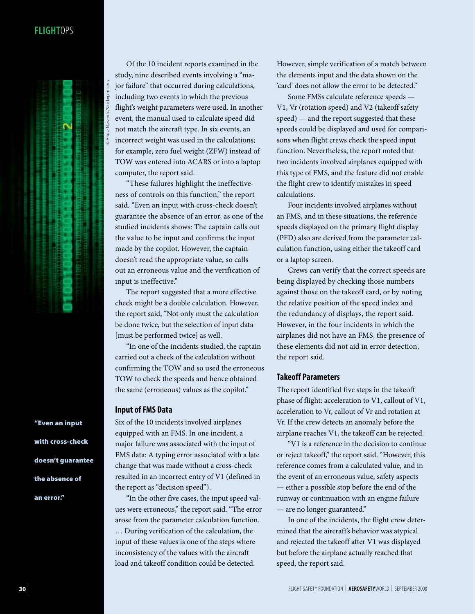# **FLIGHTOPS**

© Ariusz Nawrocki/Stockxpert.com



Of the 10 incident reports examined in the study, nine described events involving a "major failure" that occurred during calculations, including two events in which the previous flight's weight parameters were used. In another event, the manual used to calculate speed did not match the aircraft type. In six events, an incorrect weight was used in the calculations; for example, zero fuel weight (ZFW) instead of TOW was entered into ACARS or into a laptop computer, the report said.

"These failures highlight the ineffectiveness of controls on this function," the report said. "Even an input with cross-check doesn't guarantee the absence of an error, as one of the studied incidents shows: The captain calls out the value to be input and confirms the input made by the copilot. However, the captain doesn't read the appropriate value, so calls out an erroneous value and the verification of input is ineffective."

The report suggested that a more effective check might be a double calculation. However, the report said, "Not only must the calculation be done twice, but the selection of input data [must be performed twice] as well.

"In one of the incidents studied, the captain carried out a check of the calculation without confirming the TOW and so used the erroneous TOW to check the speeds and hence obtained the same (erroneous) values as the copilot."

#### **Input of FMS Data**

Six of the 10 incidents involved airplanes equipped with an FMS. In one incident, a major failure was associated with the input of FMS data: A typing error associated with a late change that was made without a cross-check resulted in an incorrect entry of V1 (defined in the report as "decision speed").

"In the other five cases, the input speed values were erroneous," the report said. "The error arose from the parameter calculation function.

… During verification of the calculation, the input of these values is one of the steps where inconsistency of the values with the aircraft load and takeoff condition could be detected.

However, simple verification of a match between the elements input and the data shown on the 'card' does not allow the error to be detected."

Some FMSs calculate reference speeds — V1, Vr (rotation speed) and V2 (takeoff safety speed) — and the report suggested that these speeds could be displayed and used for comparisons when flight crews check the speed input function. Nevertheless, the report noted that two incidents involved airplanes equipped with this type of FMS, and the feature did not enable the flight crew to identify mistakes in speed calculations.

Four incidents involved airplanes without an FMS, and in these situations, the reference speeds displayed on the primary flight display (PFD) also are derived from the parameter calculation function, using either the takeoff card or a laptop screen.

Crews can verify that the correct speeds are being displayed by checking those numbers against those on the takeoff card, or by noting the relative position of the speed index and the redundancy of displays, the report said. However, in the four incidents in which the airplanes did not have an FMS, the presence of these elements did not aid in error detection, the report said.

## **Takeoff Parameters**

The report identified five steps in the takeoff phase of flight: acceleration to V1, callout of V1, acceleration to Vr, callout of Vr and rotation at Vr. If the crew detects an anomaly before the airplane reaches V1, the takeoff can be rejected.

"V1 is a reference in the decision to continue or reject takeoff," the report said. "However, this reference comes from a calculated value, and in the event of an erroneous value, safety aspects — either a possible stop before the end of the runway or continuation with an engine failure — are no longer guaranteed."

In one of the incidents, the flight crew determined that the aircraft's behavior was atypical and rejected the takeoff after V1 was displayed but before the airplane actually reached that speed, the report said.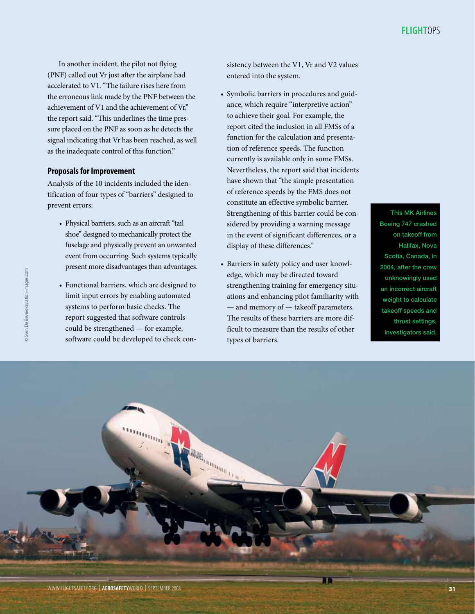In another incident, the pilot not flying (PNF) called out Vr just after the airplane had accelerated to V1. "The failure rises here from the erroneous link made by the PNF between the achievement of V1 and the achievement of Vr," the report said. "This underlines the time pressure placed on the PNF as soon as he detects the signal indicating that Vr has been reached, as well as the inadequate control of this function."

## **Proposals for Improvement**

Analysis of the 10 incidents included the identification of four types of "barriers" designed to prevent errors:

- Physical barriers, such as an aircraft "tail shoe" designed to mechanically protect the fuselage and physically prevent an unwanted event from occurring. Such systems typically present more disadvantages than advantages.
- • Functional barriers, which are designed to limit input errors by enabling automated systems to perform basic checks. The report suggested that software controls could be strengthened — for example, software could be developed to check con-

sistency between the V1, Vr and V2 values entered into the system.

- • Symbolic barriers in procedures and guidance, which require "interpretive action" to achieve their goal. For example, the report cited the inclusion in all FMSs of a function for the calculation and presentation of reference speeds. The function currently is available only in some FMSs. Nevertheless, the report said that incidents have shown that "the simple presentation of reference speeds by the FMS does not constitute an effective symbolic barrier. Strengthening of this barrier could be considered by providing a warning message in the event of significant differences, or a display of these differences."
- • Barriers in safety policy and user knowledge, which may be directed toward strengthening training for emergency situations and enhancing pilot familiarity with — and memory of — takeoff parameters. The results of these barriers are more difficult to measure than the results of other types of barriers.

This MK Airlines Boeing 747 crashed on takeoff from Halifax, Nova Scotia, Canada, in 2004, after the crew unknowingly used an incorrect aircraft weight to calculate takeoff speeds and thrust settings, investigators said.